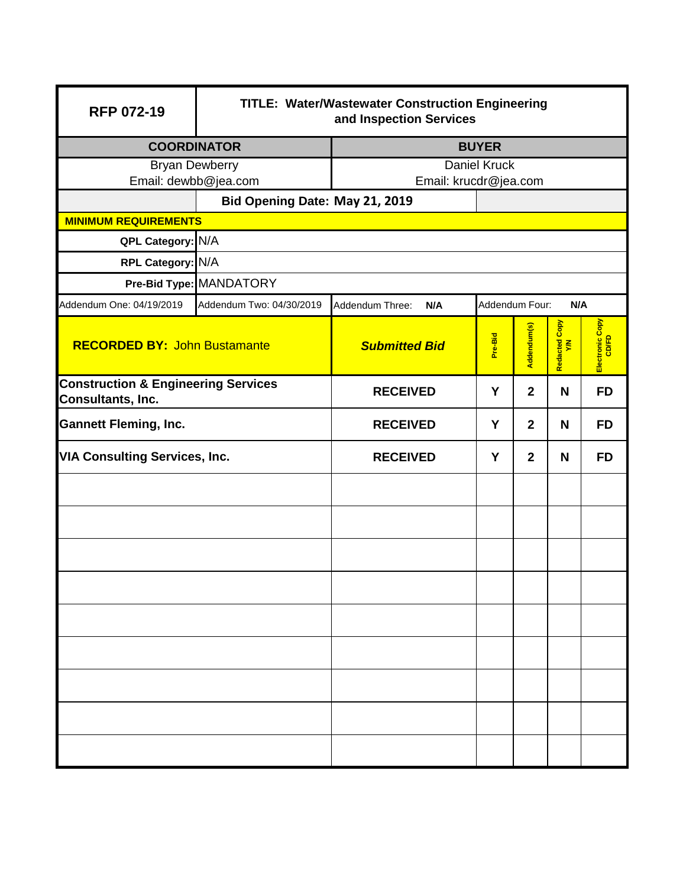| <b>RFP 072-19</b>                                                   | <b>TITLE: Water/Wastewater Construction Engineering</b><br>and Inspection Services |                                                 |         |                         |                      |                 |  |
|---------------------------------------------------------------------|------------------------------------------------------------------------------------|-------------------------------------------------|---------|-------------------------|----------------------|-----------------|--|
| <b>COORDINATOR</b>                                                  |                                                                                    | <b>BUYER</b>                                    |         |                         |                      |                 |  |
| <b>Bryan Dewberry</b><br>Email: dewbb@jea.com                       |                                                                                    | <b>Daniel Kruck</b>                             |         |                         |                      |                 |  |
|                                                                     |                                                                                    | Email: krucdr@jea.com                           |         |                         |                      |                 |  |
| <b>MINIMUM REQUIREMENTS</b>                                         | Bid Opening Date: May 21, 2019                                                     |                                                 |         |                         |                      |                 |  |
| QPL Category: N/A                                                   |                                                                                    |                                                 |         |                         |                      |                 |  |
| RPL Category: N/A                                                   |                                                                                    |                                                 |         |                         |                      |                 |  |
|                                                                     | Pre-Bid Type: MANDATORY                                                            |                                                 |         |                         |                      |                 |  |
| Addendum One: 04/19/2019                                            | Addendum Two: 04/30/2019                                                           | Addendum Four:<br>N/A<br>Addendum Three:<br>N/A |         |                         |                      |                 |  |
| <b>RECORDED BY: John Bustamante</b>                                 |                                                                                    | <b>Submitted Bid</b>                            | Pre-Bid | Addendum(s)             | Redacted Copy<br>Y/N | Electronic Copy |  |
| <b>Construction &amp; Engineering Services</b><br>Consultants, Inc. |                                                                                    | <b>RECEIVED</b>                                 | Y       | $\overline{2}$          | N                    | <b>FD</b>       |  |
| <b>Gannett Fleming, Inc.</b>                                        |                                                                                    | <b>RECEIVED</b>                                 | Y       | $\overline{2}$          | N                    | <b>FD</b>       |  |
| <b>VIA Consulting Services, Inc.</b>                                |                                                                                    | <b>RECEIVED</b>                                 | Y       | $\overline{\mathbf{2}}$ | N                    | <b>FD</b>       |  |
|                                                                     |                                                                                    |                                                 |         |                         |                      |                 |  |
|                                                                     |                                                                                    |                                                 |         |                         |                      |                 |  |
|                                                                     |                                                                                    |                                                 |         |                         |                      |                 |  |
|                                                                     |                                                                                    |                                                 |         |                         |                      |                 |  |
|                                                                     |                                                                                    |                                                 |         |                         |                      |                 |  |
|                                                                     |                                                                                    |                                                 |         |                         |                      |                 |  |
|                                                                     |                                                                                    |                                                 |         |                         |                      |                 |  |
|                                                                     |                                                                                    |                                                 |         |                         |                      |                 |  |
|                                                                     |                                                                                    |                                                 |         |                         |                      |                 |  |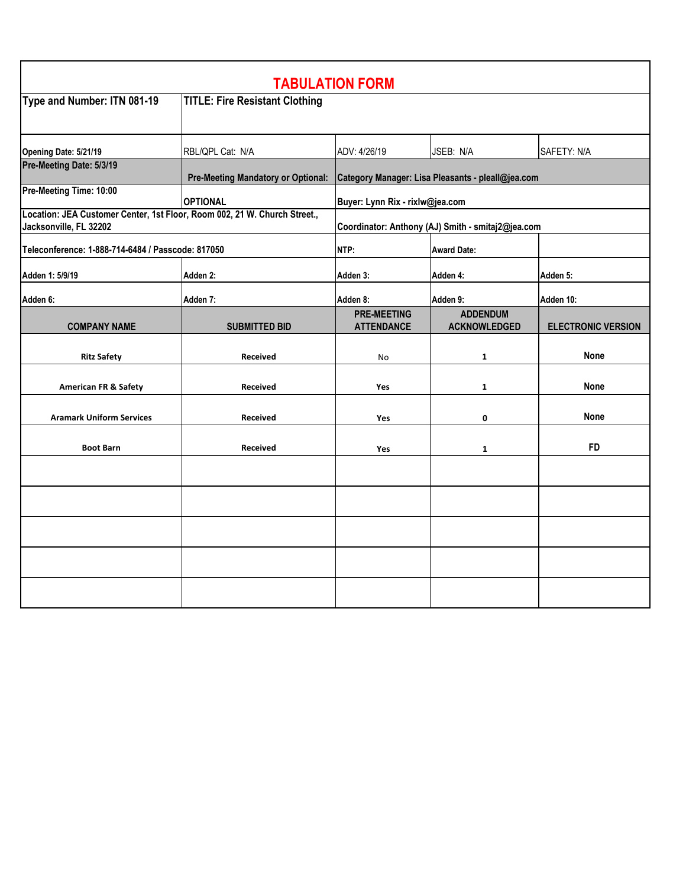| <b>TABULATION FORM</b>                                                                              |                                           |                                                   |                                        |                           |  |
|-----------------------------------------------------------------------------------------------------|-------------------------------------------|---------------------------------------------------|----------------------------------------|---------------------------|--|
| Type and Number: ITN 081-19                                                                         | <b>TITLE: Fire Resistant Clothing</b>     |                                                   |                                        |                           |  |
| Opening Date: 5/21/19                                                                               | RBL/QPL Cat: N/A                          | ADV: 4/26/19                                      | JSEB: N/A                              | SAFETY: N/A               |  |
| Pre-Meeting Date: 5/3/19                                                                            | <b>Pre-Meeting Mandatory or Optional:</b> | Category Manager: Lisa Pleasants - pleall@jea.com |                                        |                           |  |
| Pre-Meeting Time: 10:00                                                                             | <b>OPTIONAL</b>                           | Buyer: Lynn Rix - rixlw@jea.com                   |                                        |                           |  |
| Location: JEA Customer Center, 1st Floor, Room 002, 21 W. Church Street.,<br>Jacksonville, FL 32202 |                                           | Coordinator: Anthony (AJ) Smith - smitaj2@jea.com |                                        |                           |  |
| Teleconference: 1-888-714-6484 / Passcode: 817050                                                   |                                           | NTP:                                              | <b>Award Date:</b>                     |                           |  |
| Adden 1: 5/9/19                                                                                     | Adden 2:                                  | Adden 3:                                          | Adden 4:                               | Adden 5:                  |  |
| Adden 6:                                                                                            | Adden 7:                                  | Adden 8:                                          | Adden 9:                               | Adden 10:                 |  |
| <b>COMPANY NAME</b>                                                                                 | <b>SUBMITTED BID</b>                      | <b>PRE-MEETING</b><br><b>ATTENDANCE</b>           | <b>ADDENDUM</b><br><b>ACKNOWLEDGED</b> | <b>ELECTRONIC VERSION</b> |  |
| <b>Ritz Safety</b>                                                                                  | Received                                  | <b>No</b>                                         | $\mathbf{1}$                           | <b>None</b>               |  |
| <b>American FR &amp; Safety</b>                                                                     | <b>Received</b>                           | Yes                                               | $\mathbf{1}$                           | <b>None</b>               |  |
| <b>Aramark Uniform Services</b>                                                                     | <b>Received</b>                           | Yes                                               | 0                                      | <b>None</b>               |  |
| <b>Boot Barn</b>                                                                                    | Received                                  | Yes                                               | $\mathbf{1}$                           | <b>FD</b>                 |  |
|                                                                                                     |                                           |                                                   |                                        |                           |  |
|                                                                                                     |                                           |                                                   |                                        |                           |  |
|                                                                                                     |                                           |                                                   |                                        |                           |  |
|                                                                                                     |                                           |                                                   |                                        |                           |  |
|                                                                                                     |                                           |                                                   |                                        |                           |  |